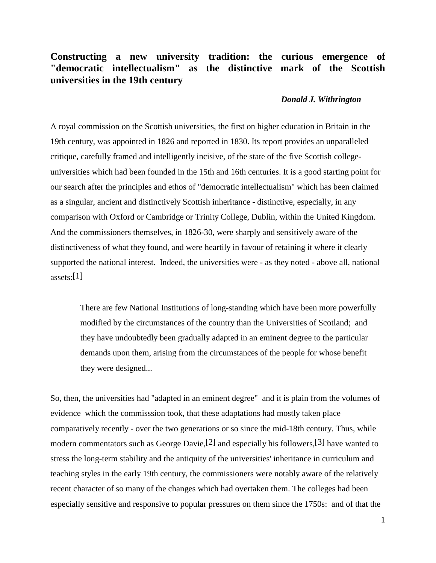## **Constructing a new university tradition: the curious emergence of "democratic intellectualism" as the distinctive mark of the Scottish universities in the 19th century**

## *Donald J. Withrington*

A royal commission on the Scottish universities, the first on higher education in Britain in the 19th century, was appointed in 1826 and reported in 1830. Its report provides an unparalleled critique, carefully framed and intelligently incisive, of the state of the five Scottish collegeuniversities which had been founded in the 15th and 16th centuries. It is a good starting point for our search after the principles and ethos of "democratic intellectualism" which has been claimed as a singular, ancient and distinctively Scottish inheritance - distinctive, especially, in any comparison with Oxford or Cambridge or Trinity College, Dublin, within the United Kingdom. And the commissioners themselves, in 1826-30, were sharply and sensitively aware of the distinctiveness of what they found, and were heartily in favour of retaining it where it clearly supported the national interest. Indeed, the universities were - as they noted - above all, national assets: $[1]$ 

 There are few National Institutions of long-standing which have been more powerfully modified by the circumstances of the country than the Universities of Scotland; and they have undoubtedly been gradually adapted in an eminent degree to the particular demands upon them, arising from the circumstances of the people for whose benefit they were designed...

So, then, the universities had "adapted in an eminent degree" and it is plain from the volumes of evidence which the commisssion took, that these adaptations had mostly taken place comparatively recently - over the two generations or so since the mid-18th century. Thus, while modern commentators such as George Davie,[2] and especially his followers,[3] have wanted to stress the long-term stability and the antiquity of the universities' inheritance in curriculum and teaching styles in the early 19th century, the commissioners were notably aware of the relatively recent character of so many of the changes which had overtaken them. The colleges had been especially sensitive and responsive to popular pressures on them since the 1750s: and of that the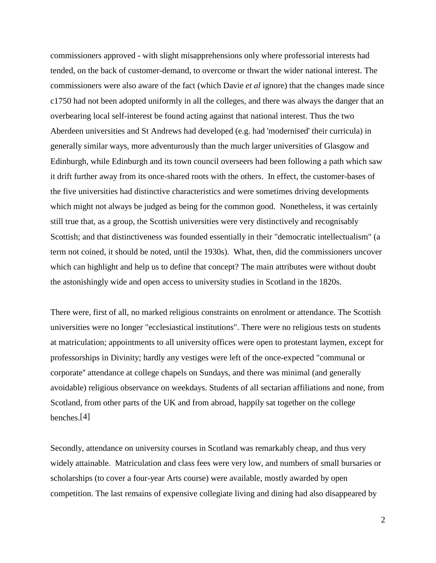commissioners approved - with slight misapprehensions only where professorial interests had tended, on the back of customer-demand, to overcome or thwart the wider national interest. The commissioners were also aware of the fact (which Davie *et al* ignore) that the changes made since c1750 had not been adopted uniformly in all the colleges, and there was always the danger that an overbearing local self-interest be found acting against that national interest. Thus the two Aberdeen universities and St Andrews had developed (e.g. had 'modernised' their curricula) in generally similar ways, more adventurously than the much larger universities of Glasgow and Edinburgh, while Edinburgh and its town council overseers had been following a path which saw it drift further away from its once-shared roots with the others. In effect, the customer-bases of the five universities had distinctive characteristics and were sometimes driving developments which might not always be judged as being for the common good. Nonetheless, it was certainly still true that, as a group, the Scottish universities were very distinctively and recognisably Scottish; and that distinctiveness was founded essentially in their "democratic intellectualism" (a term not coined, it should be noted, until the 1930s). What, then, did the commissioners uncover which can highlight and help us to define that concept? The main attributes were without doubt the astonishingly wide and open access to university studies in Scotland in the 1820s.

There were, first of all, no marked religious constraints on enrolment or attendance. The Scottish universities were no longer "ecclesiastical institutions". There were no religious tests on students at matriculation; appointments to all university offices were open to protestant laymen, except for professorships in Divinity; hardly any vestiges were left of the once-expected "communal or corporate'' attendance at college chapels on Sundays, and there was minimal (and generally avoidable) religious observance on weekdays. Students of all sectarian affiliations and none, from Scotland, from other parts of the UK and from abroad, happily sat together on the college benches.[4]

Secondly, attendance on university courses in Scotland was remarkably cheap, and thus very widely attainable. Matriculation and class fees were very low, and numbers of small bursaries or scholarships (to cover a four-year Arts course) were available, mostly awarded by open competition. The last remains of expensive collegiate living and dining had also disappeared by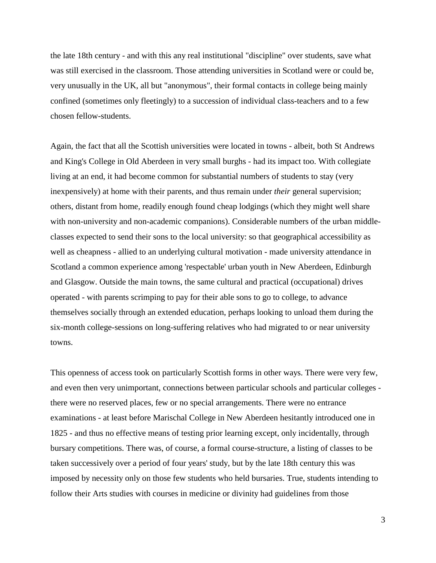the late 18th century - and with this any real institutional "discipline" over students, save what was still exercised in the classroom. Those attending universities in Scotland were or could be, very unusually in the UK, all but "anonymous", their formal contacts in college being mainly confined (sometimes only fleetingly) to a succession of individual class-teachers and to a few chosen fellow-students.

Again, the fact that all the Scottish universities were located in towns - albeit, both St Andrews and King's College in Old Aberdeen in very small burghs - had its impact too. With collegiate living at an end, it had become common for substantial numbers of students to stay (very inexpensively) at home with their parents, and thus remain under *their* general supervision; others, distant from home, readily enough found cheap lodgings (which they might well share with non-university and non-academic companions). Considerable numbers of the urban middleclasses expected to send their sons to the local university: so that geographical accessibility as well as cheapness - allied to an underlying cultural motivation - made university attendance in Scotland a common experience among 'respectable' urban youth in New Aberdeen, Edinburgh and Glasgow. Outside the main towns, the same cultural and practical (occupational) drives operated - with parents scrimping to pay for their able sons to go to college, to advance themselves socially through an extended education, perhaps looking to unload them during the six-month college-sessions on long-suffering relatives who had migrated to or near university towns.

This openness of access took on particularly Scottish forms in other ways. There were very few, and even then very unimportant, connections between particular schools and particular colleges there were no reserved places, few or no special arrangements. There were no entrance examinations - at least before Marischal College in New Aberdeen hesitantly introduced one in 1825 - and thus no effective means of testing prior learning except, only incidentally, through bursary competitions. There was, of course, a formal course-structure, a listing of classes to be taken successively over a period of four years' study, but by the late 18th century this was imposed by necessity only on those few students who held bursaries. True, students intending to follow their Arts studies with courses in medicine or divinity had guidelines from those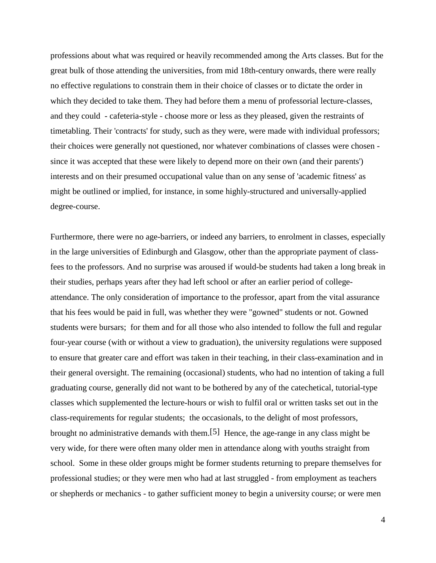professions about what was required or heavily recommended among the Arts classes. But for the great bulk of those attending the universities, from mid 18th-century onwards, there were really no effective regulations to constrain them in their choice of classes or to dictate the order in which they decided to take them. They had before them a menu of professorial lecture-classes, and they could - cafeteria-style - choose more or less as they pleased, given the restraints of timetabling. Their 'contracts' for study, such as they were, were made with individual professors; their choices were generally not questioned, nor whatever combinations of classes were chosen since it was accepted that these were likely to depend more on their own (and their parents') interests and on their presumed occupational value than on any sense of 'academic fitness' as might be outlined or implied, for instance, in some highly-structured and universally-applied degree-course.

Furthermore, there were no age-barriers, or indeed any barriers, to enrolment in classes, especially in the large universities of Edinburgh and Glasgow, other than the appropriate payment of classfees to the professors. And no surprise was aroused if would-be students had taken a long break in their studies, perhaps years after they had left school or after an earlier period of collegeattendance. The only consideration of importance to the professor, apart from the vital assurance that his fees would be paid in full, was whether they were "gowned" students or not. Gowned students were bursars; for them and for all those who also intended to follow the full and regular four-year course (with or without a view to graduation), the university regulations were supposed to ensure that greater care and effort was taken in their teaching, in their class-examination and in their general oversight. The remaining (occasional) students, who had no intention of taking a full graduating course, generally did not want to be bothered by any of the catechetical, tutorial-type classes which supplemented the lecture-hours or wish to fulfil oral or written tasks set out in the class-requirements for regular students; the occasionals, to the delight of most professors, brought no administrative demands with them.[5] Hence, the age-range in any class might be very wide, for there were often many older men in attendance along with youths straight from school. Some in these older groups might be former students returning to prepare themselves for professional studies; or they were men who had at last struggled - from employment as teachers or shepherds or mechanics - to gather sufficient money to begin a university course; or were men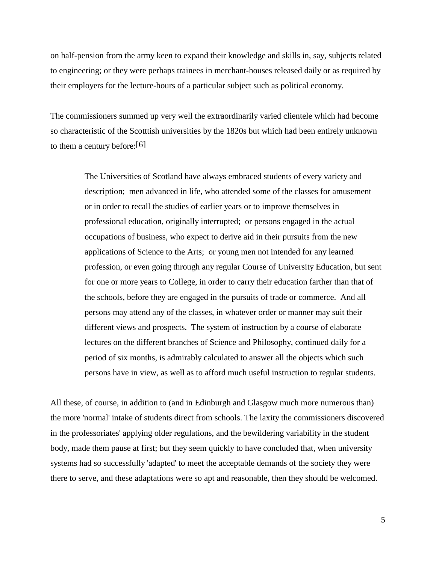on half-pension from the army keen to expand their knowledge and skills in, say, subjects related to engineering; or they were perhaps trainees in merchant-houses released daily or as required by their employers for the lecture-hours of a particular subject such as political economy.

The commissioners summed up very well the extraordinarily varied clientele which had become so characteristic of the Scotttish universities by the 1820s but which had been entirely unknown to them a century before:[6]

> The Universities of Scotland have always embraced students of every variety and description; men advanced in life, who attended some of the classes for amusement or in order to recall the studies of earlier years or to improve themselves in professional education, originally interrupted; or persons engaged in the actual occupations of business, who expect to derive aid in their pursuits from the new applications of Science to the Arts; or young men not intended for any learned profession, or even going through any regular Course of University Education, but sent for one or more years to College, in order to carry their education farther than that of the schools, before they are engaged in the pursuits of trade or commerce. And all persons may attend any of the classes, in whatever order or manner may suit their different views and prospects. The system of instruction by a course of elaborate lectures on the different branches of Science and Philosophy, continued daily for a period of six months, is admirably calculated to answer all the objects which such persons have in view, as well as to afford much useful instruction to regular students.

All these, of course, in addition to (and in Edinburgh and Glasgow much more numerous than) the more 'normal' intake of students direct from schools. The laxity the commissioners discovered in the professoriates' applying older regulations, and the bewildering variability in the student body, made them pause at first; but they seem quickly to have concluded that, when university systems had so successfully 'adapted' to meet the acceptable demands of the society they were there to serve, and these adaptations were so apt and reasonable, then they should be welcomed.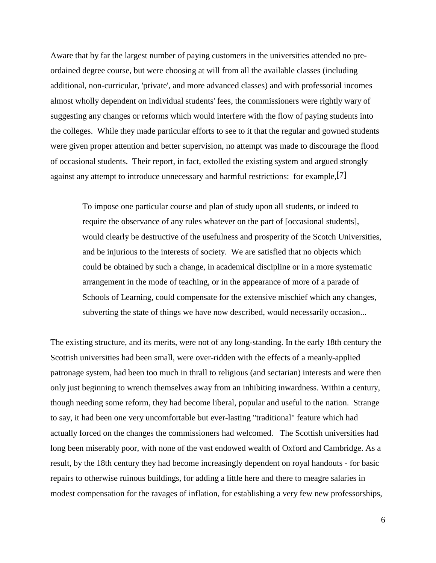Aware that by far the largest number of paying customers in the universities attended no preordained degree course, but were choosing at will from all the available classes (including additional, non-curricular, 'private', and more advanced classes) and with professorial incomes almost wholly dependent on individual students' fees, the commissioners were rightly wary of suggesting any changes or reforms which would interfere with the flow of paying students into the colleges. While they made particular efforts to see to it that the regular and gowned students were given proper attention and better supervision, no attempt was made to discourage the flood of occasional students. Their report, in fact, extolled the existing system and argued strongly against any attempt to introduce unnecessary and harmful restrictions: for example,[7]

 To impose one particular course and plan of study upon all students, or indeed to require the observance of any rules whatever on the part of [occasional students], would clearly be destructive of the usefulness and prosperity of the Scotch Universities, and be injurious to the interests of society. We are satisfied that no objects which could be obtained by such a change, in academical discipline or in a more systematic arrangement in the mode of teaching, or in the appearance of more of a parade of Schools of Learning, could compensate for the extensive mischief which any changes, subverting the state of things we have now described, would necessarily occasion...

The existing structure, and its merits, were not of any long-standing. In the early 18th century the Scottish universities had been small, were over-ridden with the effects of a meanly-applied patronage system, had been too much in thrall to religious (and sectarian) interests and were then only just beginning to wrench themselves away from an inhibiting inwardness. Within a century, though needing some reform, they had become liberal, popular and useful to the nation. Strange to say, it had been one very uncomfortable but ever-lasting "traditional" feature which had actually forced on the changes the commissioners had welcomed. The Scottish universities had long been miserably poor, with none of the vast endowed wealth of Oxford and Cambridge. As a result, by the 18th century they had become increasingly dependent on royal handouts - for basic repairs to otherwise ruinous buildings, for adding a little here and there to meagre salaries in modest compensation for the ravages of inflation, for establishing a very few new professorships,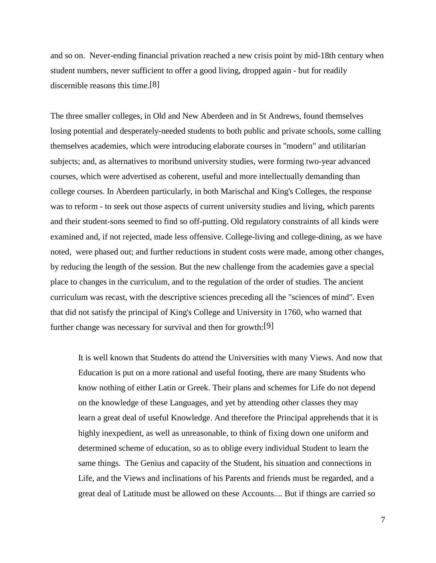and so on. Never-ending financial privation reached a new crisis point by mid-18th century when student numbers, never sufficient to offer a good living, dropped again - but for readily discernible reasons this time.[8]

The three smaller colleges, in Old and New Aberdeen and in St Andrews, found themselves losing potential and desperately-needed students to both public and private schools, some calling themselves academies, which were introducing elaborate courses in "modern" and utilitarian subjects; and, as alternatives to moribund university studies, were forming two-year advanced courses, which were advertised as coherent, useful and more intellectually demanding than college courses. In Aberdeen particularly, in both Marischal and King's Colleges, the response was to reform - to seek out those aspects of current university studies and living, which parents and their student-sons seemed to find so off-putting. Old regulatory constraints of all kinds were examined and, if not rejected, made less offensive. College-living and college-dining, as we have noted, were phased out; and further reductions in student costs were made, among other changes, by reducing the length of the session. But the new challenge from the academies gave a special place to changes in the curriculum, and to the regulation of the order of studies. The ancient curriculum was recast, with the descriptive sciences preceding all the "sciences of mind". Even that did not satisfy the principal of King's College and University in 1760, who warned that further change was necessary for survival and then for growth:[9]

 It is well known that Students do attend the Universities with many Views. And now that Education is put on a more rational and useful footing, there are many Students who know nothing of either Latin or Greek. Their plans and schemes for Life do not depend on the knowledge of these Languages, and yet by attending other classes they may learn a great deal of useful Knowledge. And therefore the Principal apprehends that it is highly inexpedient, as well as unreasonable, to think of fixing down one uniform and determined scheme of education, so as to oblige every individual Student to learn the same things. The Genius and capacity of the Student, his situation and connections in Life, and the Views and inclinations of his Parents and friends must be regarded, and a great deal of Latitude must be allowed on these Accounts.... But if things are carried so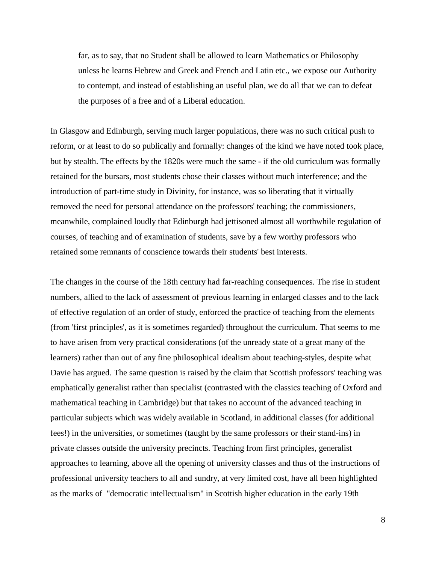far, as to say, that no Student shall be allowed to learn Mathematics or Philosophy unless he learns Hebrew and Greek and French and Latin etc., we expose our Authority to contempt, and instead of establishing an useful plan, we do all that we can to defeat the purposes of a free and of a Liberal education.

In Glasgow and Edinburgh, serving much larger populations, there was no such critical push to reform, or at least to do so publically and formally: changes of the kind we have noted took place, but by stealth. The effects by the 1820s were much the same - if the old curriculum was formally retained for the bursars, most students chose their classes without much interference; and the introduction of part-time study in Divinity, for instance, was so liberating that it virtually removed the need for personal attendance on the professors' teaching; the commissioners, meanwhile, complained loudly that Edinburgh had jettisoned almost all worthwhile regulation of courses, of teaching and of examination of students, save by a few worthy professors who retained some remnants of conscience towards their students' best interests.

The changes in the course of the 18th century had far-reaching consequences. The rise in student numbers, allied to the lack of assessment of previous learning in enlarged classes and to the lack of effective regulation of an order of study, enforced the practice of teaching from the elements (from 'first principles', as it is sometimes regarded) throughout the curriculum. That seems to me to have arisen from very practical considerations (of the unready state of a great many of the learners) rather than out of any fine philosophical idealism about teaching-styles, despite what Davie has argued. The same question is raised by the claim that Scottish professors' teaching was emphatically generalist rather than specialist (contrasted with the classics teaching of Oxford and mathematical teaching in Cambridge) but that takes no account of the advanced teaching in particular subjects which was widely available in Scotland, in additional classes (for additional fees!) in the universities, or sometimes (taught by the same professors or their stand-ins) in private classes outside the university precincts. Teaching from first principles, generalist approaches to learning, above all the opening of university classes and thus of the instructions of professional university teachers to all and sundry, at very limited cost, have all been highlighted as the marks of "democratic intellectualism" in Scottish higher education in the early 19th